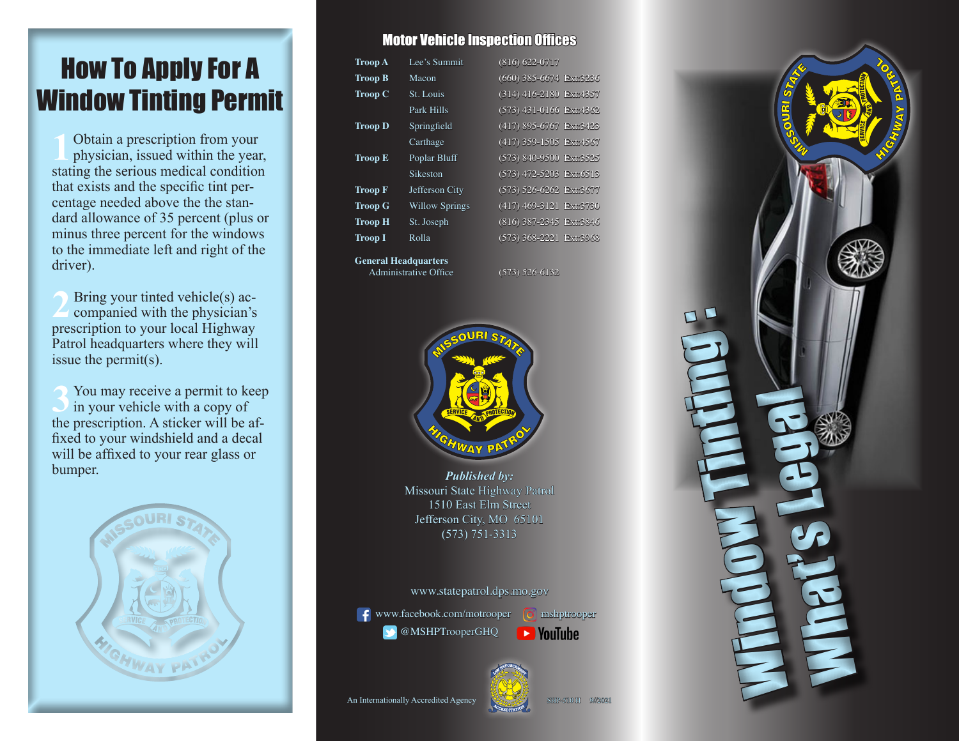# How To Apply For A Window Tinting Permit

1**1** Obtain a prescription from your physician, issued within the year, stating the serious medical condition that exists and the specific tint percentage needed above the the standard allowance of 35 percent (plus or minus three percent for the windows to the immediate left and right of the driver).

**2** Bring your tinted vehicle(s) accompanied with the physician's prescription to your local Highway Patrol headquarters where they will issue the permit(s).

**3** You may receive a permit to keep in your vehicle with a copy of the prescription. A sticker will be affixed to your windshield and a decal will be affixed to your rear glass or bumper. *Published by:*



#### Motor Vehicle Inspection Offices

| <b>Troop A</b> | Lee's Summit          | $(816) 622 - 0717$      |
|----------------|-----------------------|-------------------------|
| <b>Troop B</b> | Macon                 | (660) 385-6674 Ext:3236 |
| <b>Troop C</b> | St. Louis             | (314) 416-2180 Ext:4357 |
|                | Park Hills            | (573) 431-0166 Ext:4362 |
| <b>Troop D</b> | Springfield           | (417) 895-6767 Ext:3423 |
|                | Carthage              | (417) 359-1505 Ext:4567 |
| <b>Troop E</b> | Poplar Bluff          | (573) 840-9500 Ext:3525 |
|                | Sikeston              | (573) 472-5203 Ext:6513 |
| <b>Troop F</b> | Jefferson City        | (573) 526-6262 Ext:3677 |
| <b>Troop G</b> | <b>Willow Springs</b> | (417) 469-3121 Ext:3730 |
| <b>Troop H</b> | St. Joseph            | (816) 387-2345 Ext:3846 |
| <b>Troop I</b> | Rolla                 | (573) 368-2221 Ext:3968 |
|                |                       |                         |

**General Headquarters** Administrative Office (573) 526-6132



Missouri State Highway Patrol 1510 East Elm Street Jefferson City, MO 65101 (573) 751-3313

#### www.statepatrol.dps.mo.gov

@MSHPTrooperGHQ

**f** www.facebook.com/motrooper **O** mshptrooper **D** YouTube